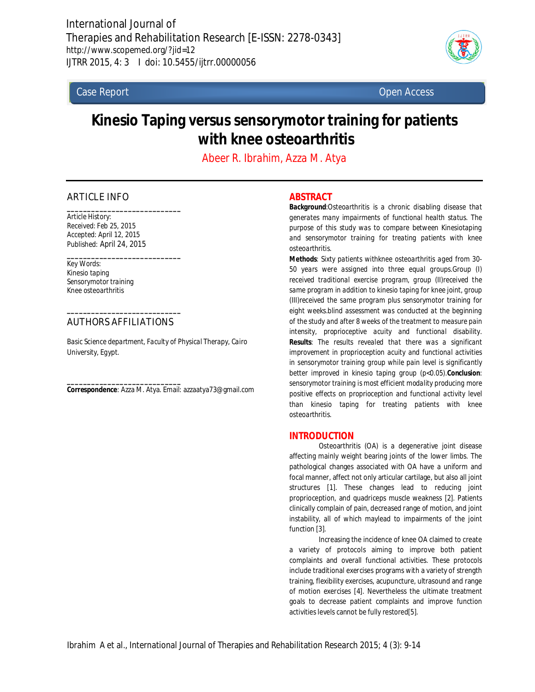

Case Report Open Access

# **Kinesio Taping versus sensorymotor training for patients with knee osteoarthritis**

*Abeer R. Ibrahim, Azza M. Atya*

# ARTICLE INFO

*Article History: Received: Feb 25, 2015 Accepted: April 12, 2015 Published: April 24, 2015*

*\_\_\_\_\_\_\_\_\_\_\_\_\_\_\_\_\_\_\_\_\_\_\_\_\_\_\_\_*

*\_\_\_\_\_\_\_\_\_\_\_\_\_\_\_\_\_\_\_\_\_\_\_\_\_\_\_\_*

*Key Words: Kinesio taping Sensorymotor training Knee osteoarthritis*

# *\_\_\_\_\_\_\_\_\_\_\_\_\_\_\_\_\_\_\_\_\_\_\_\_\_\_\_\_* AUTHORS AFFILIATIONS

*Basic Science department, Faculty of Physical Therapy, Cairo University, Egypt.*

*\_\_\_\_\_\_\_\_\_\_\_\_\_\_\_\_\_\_\_\_\_\_\_\_\_\_\_\_* **Correspondence**: Azza M. Atya. Email: azzaatya73@gmail.com

# **ABSTRACT**

*Background:Osteoarthritis is a chronic disabling disease that generates many impairments of functional health status. The purpose of this study was to compare between Kinesiotaping and sensorymotor training for treating patients with knee osteoarthritis.* 

*Methods: Sixty patients withknee osteoarthritis aged from 30- 50 years were assigned into three equal groups.Group (I) received traditional exercise program, group (II)received the same program in addition to kinesio taping for knee joint, group (III)received the same program plus sensorymotor training for eight weeks.blind assessment was conducted at the beginning of the study and after 8 weeks of the treatment to measure pain intensity, proprioceptive acuity and functional disability. Results: The results revealed that there was a significant improvement in proprioception acuity and functional activities in sensorymotor training group while pain level is significantly better improved in kinesio taping group (p<0.05).Conclusion: sensorymotor training is most efficient modality producing more positive effects on proprioception and functional activity level than kinesio taping for treating patients with knee osteoarthritis.*

# **INTRODUCTION**

Osteoarthritis (OA) is a degenerative joint disease affecting mainly weight bearing joints of the lower limbs. The pathological changes associated with OA have a uniform and focal manner, affect not only articular cartilage, but also all joint structures [1]. These changes lead to reducing joint proprioception, and quadriceps muscle weakness [2]. Patients clinically complain of pain, decreased range of motion, and joint instability, all of which maylead to impairments of the joint function [3].

Increasing the incidence of knee OA claimed to create a variety of protocols aiming to improve both patient complaints and overall functional activities. These protocols include traditional exercises programs with a variety of strength training, flexibility exercises, acupuncture, ultrasound and range of motion exercises [4]. Nevertheless the ultimate treatment goals to decrease patient complaints and improve function activities levels cannot be fully restored[5].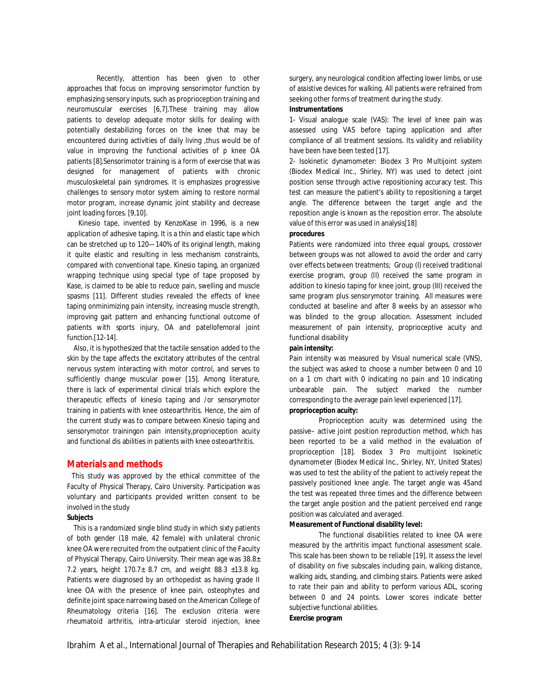Recently, attention has been given to other approaches that focus on improving sensorimotor function by emphasizing sensory inputs, such as proprioception training and neuromuscular exercises [6,7].These training may allow patients to develop adequate motor skills for dealing with potentially destabilizing forces on the knee that may be encountered during activities of daily living ,thus would be of value in improving the functional activities of p knee OA patients [8].Sensorimotor training is a form of exercise that was designed for management of patients with chronic musculoskeletal pain syndromes. It is emphasizes progressive challenges to sensory motor system aiming to restore normal motor program, increase dynamic joint stability and decrease joint loading forces. [9,10].

 Kinesio tape, invented by KenzoKase in 1996, is a new application of adhesive taping. It is a thin and elastic tape which can be stretched up to 120—140% of its original length, making it quite elastic and resulting in less mechanism constraints, compared with conventional tape. Kinesio taping, an organized wrapping technique using special type of tape proposed by Kase, is claimed to be able to reduce pain, swelling and muscle spasms [11]. Different studies revealed the effects of knee taping onminimizing pain intensity, increasing muscle strength, improving gait pattern and enhancing functional outcome of patients with sports injury, OA and patellofemoral joint function.[12-14].

 Also, it is hypothesized that the tactile sensation added to the skin by the tape affects the excitatory attributes of the central nervous system interacting with motor control, and serves to sufficiently change muscular power [15]. Among literature, there is lack of experimental clinical trials which explore the therapeutic effects of kinesio taping and /or sensorymotor training in patients with knee osteoarthritis. Hence, the aim of the current study was to compare between Kinesio taping and sensorymotor trainingon pain intensity,proprioception acuity and functional dis abilities in patients with knee osteoarthritis.

## **Materials and methods**

 This study was approved by the ethical committee of the Faculty of Physical Therapy, Cairo University. Participation was voluntary and participants provided written consent to be involved in the study

## **Subjects**

 This is a randomized single blind study in which sixty patients of both gender (18 male, 42 female) with unilateral chronic knee OA were recruited from the outpatient clinic of the Faculty of Physical Therapy, Cairo University. Their mean age was 38.8± 7.2 years, height  $170.7 \pm 8.7$  cm, and weight  $88.3 \pm 13.8$  kg. Patients were diagnosed by an orthopedist as having grade II knee OA with the presence of knee pain, osteophytes and definite joint space narrowing based on the American College of Rheumatology criteria [16]. The exclusion criteria were rheumatoid arthritis, intra-articular steroid injection, knee surgery, any neurological condition affecting lower limbs, or use of assistive devices for walking. All patients were refrained from seeking other forms of treatment during the study.

## **Instrumentations**

1- Visual analogue scale (VAS): The level of knee pain was assessed using VAS before taping application and after compliance of all treatment sessions. Its validity and reliability have been have been tested [17].

2- Isokinetic dynamometer: Biodex 3 Pro Multijoint system (Biodex Medical Inc., Shirley, NY) was used to detect joint position sense through active repositioning accuracy test. This test can measure the patient's ability to repositioning a target angle. The difference between the target angle and the reposition angle is known as the reposition error. The absolute value of this error was used in analysis[18]

#### **procedures**

Patients were randomized into three equal groups, crossover between groups was not allowed to avoid the order and carry over effects between treatments; Group (I) received traditional exercise program, group (II) received the same program in addition to kinesio taping for knee joint, group (III) received the same program plus sensorymotor training. All measures were conducted at baseline and after 8 weeks by an assessor who was blinded to the group allocation. Assessment included measurement of pain intensity, proprioceptive acuity and functional disability

#### **pain intensity:**

Pain intensity was measured by Visual numerical scale (VNS), the subject was asked to choose a number between 0 and 10 on a 1 cm chart with 0 indicating no pain and 10 indicating unbearable pain. The subject marked the number corresponding to the average pain level experienced [17]. **proprioception acuity:**

Proprioception acuity was determined using the passive– active joint position reproduction method, which has been reported to be a valid method in the evaluation of proprioception [18]. Biodex 3 Pro multijoint Isokinetic dynamometer (Biodex Medical Inc., Shirley, NY, United States) was used to test the ability of the patient to actively repeat the passively positioned knee angle. The target angle was 45and the test was repeated three times and the difference between the target angle position and the patient perceived end range position was calculated and averaged.

#### **Measurement of Functional disability level:**

The functional disabilities related to knee OA were measured by the arthritis impact functional assessment scale. This scale has been shown to be reliable [19]. It assess the level of disability on five subscales including pain, walking distance, walking aids, standing, and climbing stairs. Patients were asked to rate their pain and ability to perform various ADL, scoring between 0 and 24 points. Lower scores indicate better subjective functional abilities.

#### **Exercise program**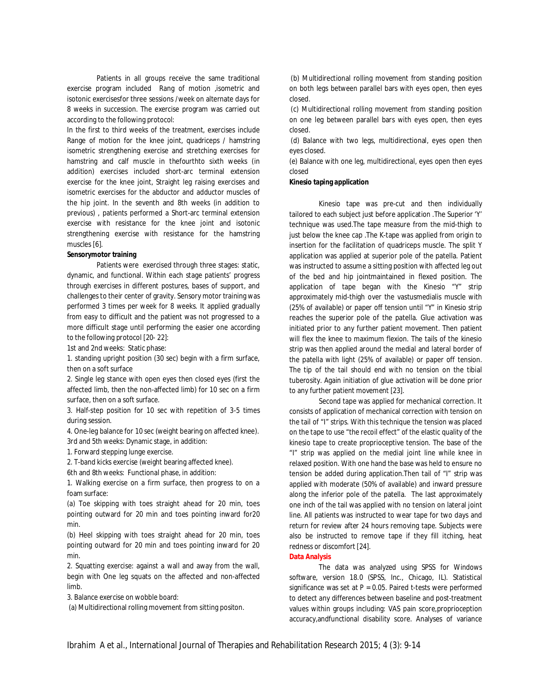Patients in all groups receive the same traditional exercise program included Rang of motion ,isometric and isotonic exercisesfor three sessions /week on alternate days for 8 weeks in succession. The exercise program was carried out according to the following protocol:

In the first to third weeks of the treatment, exercises include Range of motion for the knee joint, quadriceps / hamstring isometric strengthening exercise and stretching exercises for hamstring and calf muscle in thefourthto sixth weeks (in addition) exercises included short-arc terminal extension exercise for the knee joint, Straight leg raising exercises and isometric exercises for the abductor and adductor muscles of the hip joint. In the seventh and 8th weeks (in addition to previous) , patients performed a Short-arc terminal extension exercise with resistance for the knee joint and isotonic strengthening exercise with resistance for the hamstring muscles [6].

## **Sensorymotor training**

Patients were exercised through three stages: static, dynamic, and functional. Within each stage patients' progress through exercises in different postures, bases of support, and challenges to their center of gravity. Sensory motor training was performed 3 times per week for 8 weeks. It applied gradually from easy to difficult and the patient was not progressed to a more difficult stage until performing the easier one according to the following protocol [20- 22]:

1st and 2nd weeks: Static phase:

1. standing upright position (30 sec) begin with a firm surface, then on a soft surface

2. Single leg stance with open eyes then closed eyes (first the affected limb, then the non-affected limb) for 10 sec on a firm surface, then on a soft surface.

3. Half-step position for 10 sec with repetition of 3-5 times during session.

4. One-leg balance for 10 sec (weight bearing on affected knee). 3rd and 5th weeks: Dynamic stage, in addition:

1. Forward stepping lunge exercise.

2. T-band kicks exercise (weight bearing affected knee).

6th and 8th weeks: Functional phase, in addition:

1. Walking exercise on a firm surface, then progress to on a foam surface:

(a) Toe skipping with toes straight ahead for 20 min, toes pointing outward for 20 min and toes pointing inward for20 min.

(b) Heel skipping with toes straight ahead for 20 min, toes pointing outward for 20 min and toes pointing inward for 20 min.

2. Squatting exercise: against a wall and away from the wall, begin with One leg squats on the affected and non-affected limb.

3. Balance exercise on wobble board:

(a) Multidirectional rolling movement from sitting positon.

(b) Multidirectional rolling movement from standing position on both legs between parallel bars with eyes open, then eyes closed.

(c) Multidirectional rolling movement from standing position on one leg between parallel bars with eyes open, then eyes closed.

(d) Balance with two legs, multidirectional, eyes open then eyes closed.

(e) Balance with one leg, multidirectional, eyes open then eyes closed

#### **Kinesio taping application**

Kinesio tape was pre-cut and then individually tailored to each subject just before application .The Superior 'Y' technique was used.The tape measure from the mid-thigh to just below the knee cap . The K-tape was applied from origin to insertion for the facilitation of quadriceps muscle. The split Y application was applied at superior pole of the patella. Patient was instructed to assume a sitting position with affected leg out of the bed and hip jointmaintained in flexed position. The application of tape began with the Kinesio "Y" strip approximately mid-thigh over the vastusmedialis muscle with (25% of available) or paper off tension until "Y" in Kinesio strip reaches the superior pole of the patella. Glue activation was initiated prior to any further patient movement. Then patient will flex the knee to maximum flexion. The tails of the kinesio strip was then applied around the medial and lateral border of the patella with light (25% of available) or paper off tension. The tip of the tail should end with no tension on the tibial tuberosity. Again initiation of glue activation will be done prior to any further patient movement [23].

Second tape was applied for mechanical correction. It consists of application of mechanical correction with tension on the tail of "I" strips. With this technique the tension was placed on the tape to use "the recoil effect" of the elastic quality of the kinesio tape to create proprioceptive tension. The base of the "I" strip was applied on the medial joint line while knee in relaxed position. With one hand the base was held to ensure no tension be added during application.Then tail of "I" strip was applied with moderate (50% of available) and inward pressure along the inferior pole of the patella. The last approximately one inch of the tail was applied with no tension on lateral joint line. All patients was instructed to wear tape for two days and return for review after 24 hours removing tape. Subjects were also be instructed to remove tape if they fill itching, heat redness or discomfort [24].

#### **Data Analysis**

The data was analyzed using SPSS for Windows software, version 18.0 (SPSS, Inc., Chicago, IL). Statistical significance was set at *P* = 0.05. Paired *t*-tests were performed to detect any differences between baseline and post-treatment values within groups including: VAS pain score,proprioception accuracy,andfunctional disability score. Analyses of variance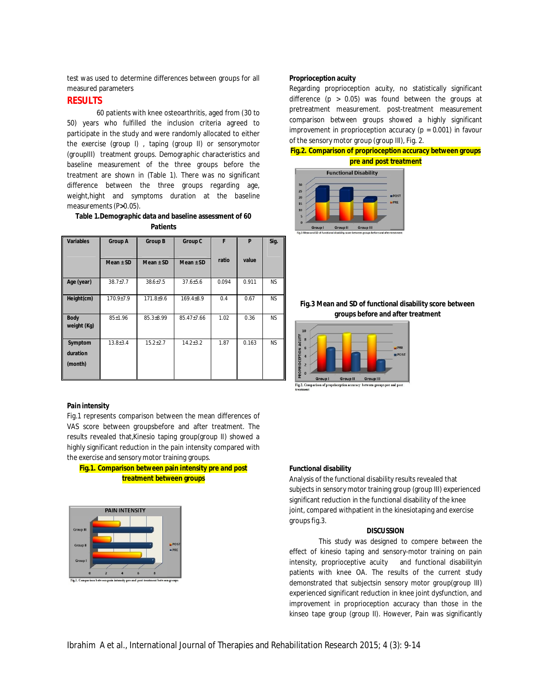test was used to determine differences between groups for all measured parameters

## **RESULTS**

60 patients with knee osteoarthritis, aged from (30 to 50) years who fulfilled the inclusion criteria agreed to participate in the study and were randomly allocated to either the exercise (group I) , taping (group II) or sensorymotor (groupIII) treatment groups. Demographic characteristics and baseline measurement of the three groups before the treatment are shown in (Table 1). There was no significant difference between the three groups regarding age, weight,hight and symptoms duration at the baseline measurements (P**>**0.05).

# **Table 1.Demographic data and baseline assessment of 60 Patients**

| <b>Variables</b>               | <b>Group A</b>  | <b>Group B</b>  | Group C          | F     | P     | Sig.      |
|--------------------------------|-----------------|-----------------|------------------|-------|-------|-----------|
|                                | $Mean \pm SD$   | $Mean \pm SD$   | $Mean \pm SD$    | ratio | value |           |
| Age (year)                     | $38.7 + 7.7$    | $38.6 + 7.5$    | $37.6 + 5.6$     | 0.094 | 0.911 | <b>NS</b> |
| Height(cm)                     | $170.9 \pm 7.9$ | $171.8 + 9.6$   | $169.4 \pm 8.9$  | 0.4   | 0.67  | <b>NS</b> |
| <b>Body</b><br>weight (Kg)     | $85 + 1.96$     | $85.3{\pm}8.99$ | $85.47 \pm 7.66$ | 1.02  | 0.36  | NS.       |
| Symptom<br>duration<br>(month) | $13.8 \pm 3.4$  | $15.2 + 2.7$    | $14.2 + 3.2$     | 1.87  | 0.163 | <b>NS</b> |

#### **Pain intensity**

Fig.1 represents comparison between the mean differences of VAS score between groupsbefore and after treatment. The results revealed that,Kinesio taping group(group II) showed a highly significant reduction in the pain intensity compared with the exercise and sensory motor training groups.

# **Fig.1. Comparison between pain intensity pre and post treatment between groups**



#### **Proprioception acuity**

Regarding proprioception acuity, no statistically significant difference ( $p > 0.05$ ) was found between the groups at pretreatment measurement. post-treatment measurement comparison between groups showed a highly significant improvement in proprioception accuracy ( $p = 0.001$ ) in favour of the sensory motor group (group III), Fig. 2.

## **Fig.2. Comparison of proprioception accuracy between groups pre and post treatment**







Fig.2. Comparison of proprie ception accuracy between groups pre and po

## **Functional disability**

Analysis of the functional disability results revealed that subjects in sensory motor training group (group III) experienced significant reduction in the functional disability of the knee joint, compared withpatient in the kinesiotaping and exercise groups fig.3.

#### **DISCUSSION**

This study was designed to compere between the effect of kinesio taping and sensory-motor training on pain intensity, proprioceptive acuity and functional disabilityin patients with knee OA. The results of the current study demonstrated that subjectsin sensory motor group(group III) experienced significant reduction in knee joint dysfunction, and improvement in proprioception accuracy than those in the kinseo tape group (group II). However, Pain was significantly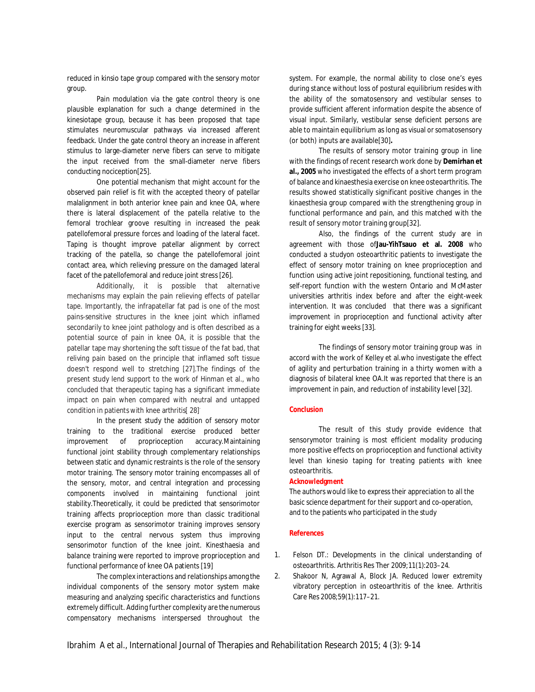reduced in kinsio tape group compared with the sensory motor group.

Pain modulation via the gate control theory is one plausible explanation for such a change determined in the kinesiotape group, because it has been proposed that tape stimulates neuromuscular pathways via increased afferent feedback. Under the gate control theory an increase in afferent stimulus to large-diameter nerve fibers can serve to mitigate the input received from the small-diameter nerve fibers conducting nociception[25].

One potential mechanism that might account for the observed pain relief is fit with the accepted theory of patellar malalignment in both anterior knee pain and knee OA, where there is lateral displacement of the patella relative to the femoral trochlear groove resulting in increased the peak patellofemoral pressure forces and loading of the lateral facet. Taping is thought improve patellar alignment by correct tracking of the patella, so change the patellofemoral joint contact area, which relieving pressure on the damaged lateral facet of the patellofemoral and reduce joint stress [26].

Additionally, it is possible that alternative mechanisms may explain the pain relieving effects of patellar tape. Importantly, the infrapatellar fat pad is one of the most pains-sensitive structures in the knee joint which inflamed secondarily to knee joint pathology and is often described as a potential source of pain in knee OA, it is possible that the patellar tape may shortening the soft tissue of the fat bad, that reliving pain based on the principle that inflamed soft tissue doesn't respond well to stretching [27].The findings of the present study lend support to the work of Hinman et al., who concluded that therapeutic taping has a significant immediate impact on pain when compared with neutral and untapped condition in patients with knee arthritis<sup>[28]</sub>.</sup>

In the present study the addition of sensory motor training to the traditional exercise produced better improvement of proprioception accuracy.Maintaining functional joint stability through complementary relationships between static and dynamic restraints is the role of the sensory motor training. The sensory motor training encompasses all of the sensory, motor, and central integration and processing components involved in maintaining functional joint stability.Theoretically, it could be predicted that sensorimotor training affects proprioception more than classic traditional exercise program as sensorimotor training improves sensory input to the central nervous system thus improving sensorimotor function of the knee joint. Kinesthaesia and balance training were reported to improve proprioception and functional performance of knee OA patients [19]

The complex interactions and relationships among the individual components of the sensory motor system make measuring and analyzing specific characteristics and functions extremely difficult. Adding further complexity are the numerous compensatory mechanisms interspersed throughout the

system. For example, the normal ability to close one's eyes during stance without loss of postural equilibrium resides with the ability of the somatosensory and vestibular senses to provide sufficient afferent information despite the absence of visual input. Similarly, vestibular sense deficient persons are able to maintain equilibrium as long as visual or somatosensory (or both) inputs are available[30]**.**

The results of sensory motor training group in line with the findings of recent research work done by **Demirhan et al., 2005** who investigated the effects of a short term program of balance and kinaesthesia exercise on knee osteoarthritis. The results showed statistically significant positive changes in the kinaesthesia group compared with the strengthening group in functional performance and pain, and this matched with the result of sensory motor training group[32].

Also, the findings of the current study are in agreement with those of**Jau-YihTsauo et al. 2008** who conducted a studyon osteoarthritic patients to investigate the effect of sensory motor training on knee proprioception and function using active joint repositioning, functional testing, and self-report function with the western Ontario and McMaster universities arthritis index before and after the eight-week intervention. It was concluded that there was a significant improvement in proprioception and functional activity after training for eight weeks [33].

The findings of sensory motor training group was in accord with the work of Kelley et al.who investigate the effect of agility and perturbation training in a thirty women with a diagnosis of bilateral knee OA.It was reported that there is an improvement in pain, and reduction of instability level [32].

## **Conclusion**

The result of this study provide evidence that sensorymotor training is most efficient modality producing more positive effects on proprioception and functional activity level than kinesio taping for treating patients with knee osteoarthritis.

#### **Acknowledgment**

The authors would like to express their appreciation to all the basic science department for their support and co-operation, and to the patients who participated in the study

#### **References**

- 1. Felson DT.: Developments in the clinical understanding of osteoarthritis. Arthritis Res Ther 2009;11(1):203–24.
- 2. Shakoor N, Agrawal A, Block JA. Reduced lower extremity vibratory perception in osteoarthritis of the knee. Arthritis Care Res 2008;59(1):117–21.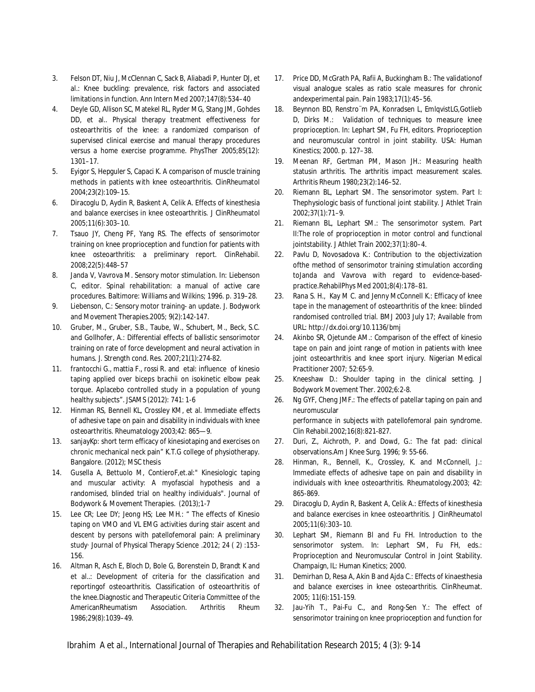- 3. Felson DT, Niu J, McClennan C, Sack B, Aliabadi P, Hunter DJ, et al.: Knee buckling: prevalence, risk factors and associated limitations in function. Ann Intern Med 2007;147(8):534–40
- 4. Deyle GD, Allison SC, Matekel RL, Ryder MG, Stang JM, Gohdes DD, et al.. Physical therapy treatment effectiveness for osteoarthritis of the knee: a randomized comparison of supervised clinical exercise and manual therapy procedures versus a home exercise programme. PhysTher 2005;85(12): 1301–17.
- 5. Eyigor S, Hepguler S, Capaci K. A comparison of muscle training methods in patients with knee osteoarthritis. ClinRheumatol 2004;23(2):109–15.
- 6. Diracoglu D, Aydin R, Baskent A, Celik A. Effects of kinesthesia and balance exercises in knee osteoarthritis. J ClinRheumatol 2005;11(6):303–10.
- 7. Tsauo JY, Cheng PF, Yang RS. The effects of sensorimotor training on knee proprioception and function for patients with knee osteoarthritis: a preliminary report. ClinRehabil. 2008;22(5):448–57
- 8. Janda V, Vavrova M. Sensory motor stimulation. In: Liebenson C, editor. Spinal rehabilitation: a manual of active care procedures. Baltimore: Williams and Wilkins; 1996. p. 319–28.
- 9. Liebenson, C.: Sensory motor training- an update. J. Bodywork and Movement Therapies.2005; 9(2):142-147.
- 10. Gruber, M., Gruber, S.B., Taube, W., Schubert, M., Beck, S.C. and Gollhofer, A.: Differential effects of ballistic sensorimotor training on rate of force development and neural activation in humans. J. Strength cond. Res. 2007;21(1):274-82.
- 11. frantocchi G., mattia F., rossi R. and etal: influence of kinesio taping applied over biceps brachii on isokinetic elbow peak torque. Aplacebo controlled study in a population of young healthy subjects". JSAMS (2012): 741: 1-6
- 12. Hinman RS, Bennell KL, Crossley KM, et al. Immediate effects of adhesive tape on pain and disability in individuals with knee osteoarthritis. Rheumatology 2003;42: 865—9.
- 13. sanjayKp: short term efficacy of kinesiotaping and exercises on chronic mechanical neck pain" K.T.G college of physiotherapy. Bangalore. (2012); MSC thesis
- 14. Gusella A, Bettuolo M, ContieroF,et.al:" Kinesiologic taping and muscular activity: A myofascial hypothesis and a randomised, blinded trial on healthy individuals". Journal of Bodywork & Movement Therapies. (2013);1-7
- 15. Lee CR; Lee DY; Jeong HS; Lee MH.: " The effects of Kinesio taping on VMO and VL EMG activities during stair ascent and descent by persons with patellofemoral pain: A preliminary study· Journal of Physical Therapy Science .2012; 24 ( 2) :153- 156.
- 16. Altman R, Asch E, Bloch D, Bole G, Borenstein D, Brandt K and et al..: Development of criteria for the classification and reportingof osteoarthritis. Classification of osteoarthritis of the knee.Diagnostic and Therapeutic Criteria Committee of the AmericanRheumatism Association. Arthritis Rheum 1986;29(8):1039–49.
- 17. Price DD, McGrath PA, Rafii A, Buckingham B.: The validationof visual analogue scales as ratio scale measures for chronic andexperimental pain. Pain 1983;17(1):45–56.
- 18. Beynnon BD, Renstro¨m PA, Konradsen L, EmlqvistLG,Gotlieb D, Dirks M.: Validation of techniques to measure knee proprioception. In: Lephart SM, Fu FH, editors. Proprioception and neuromuscular control in joint stability. USA: Human Kinestics; 2000. p. 127–38.
- 19. Meenan RF, Gertman PM, Mason JH.: Measuring health statusin arthritis. The arthritis impact measurement scales. Arthritis Rheum 1980;23(2):146–52.
- 20. Riemann BL, Lephart SM. The sensorimotor system. Part I: Thephysiologic basis of functional joint stability. J Athlet Train 2002;37(1):71–9.
- 21. Riemann BL, Lephart SM.: The sensorimotor system. Part II:The role of proprioception in motor control and functional jointstability. J Athlet Train 2002;37(1):80–4.
- 22. Pavlu D, Novosadova K.: Contribution to the objectivization ofthe method of sensorimotor training stimulation according toJanda and Vavrova with regard to evidence-basedpractice.RehabilPhys Med 2001;8(4):178–81.
- 23. Rana S. H., Kay M C. and Jenny McConnell K.: Efficacy of knee tape in the management of osteoarthritis of the knee: blinded randomised controlled trial. BMJ 2003 July 17; Available from URL: http://dx.doi.org/10.1136/bmj
- 24. Akinbo SR, Ojetunde AM.: Comparison of the effect of kinesio tape on pain and joint range of motion in patients with knee joint osteoarthritis and knee sport injury. Nigerian Medical Practitioner 2007; 52:65-9.
- 25. Kneeshaw D.: Shoulder taping in the clinical setting. J Bodywork Movement Ther. 2002;6:2-8.
- 26. Ng GYF, Cheng JMF.: The effects of patellar taping on pain and neuromuscular

performance in subjects with patellofemoral pain syndrome. *Clin Rehabil.*2002;16(8):821-827.

- 27. Duri, Z., Aichroth, P. and Dowd, G.: The fat pad: clinical observations.Am J Knee Surg. 1996; 9: 55-66.
- 28. Hinman, R., Bennell, K., Crossley, K. and McConnell, J.: Immediate effects of adhesive tape on pain and disability in individuals with knee osteoarthritis. Rheumatology.2003; 42: 865-869.
- 29. Diracoglu D, Aydin R, Baskent A, Celik A.: Effects of kinesthesia and balance exercises in knee osteoarthritis. J ClinRheumatol 2005;11(6):303–10.
- 30. Lephart SM, Riemann Bl and Fu FH. Introduction to the sensorimotor system. In: Lephart SM, Fu FH, eds.: Proprioception and Neuromuscular Control in Joint Stability. Champaign, IL: Human Kinetics; 2000.
- 31. Demirhan D, Resa A, Akin B and Ajda C.: Effects of kinaesthesia and balance exercises in knee osteoarthritis. ClinRheumat. 2005; 11(6):151-159.
- 32. Jau-Yih T., Pai-Fu C., and Rong-Sen Y.: The effect of sensorimotor training on knee proprioception and function for

Ibrahim A et al., International Journal of Therapies and Rehabilitation Research 2015; 4 (3): 9-14